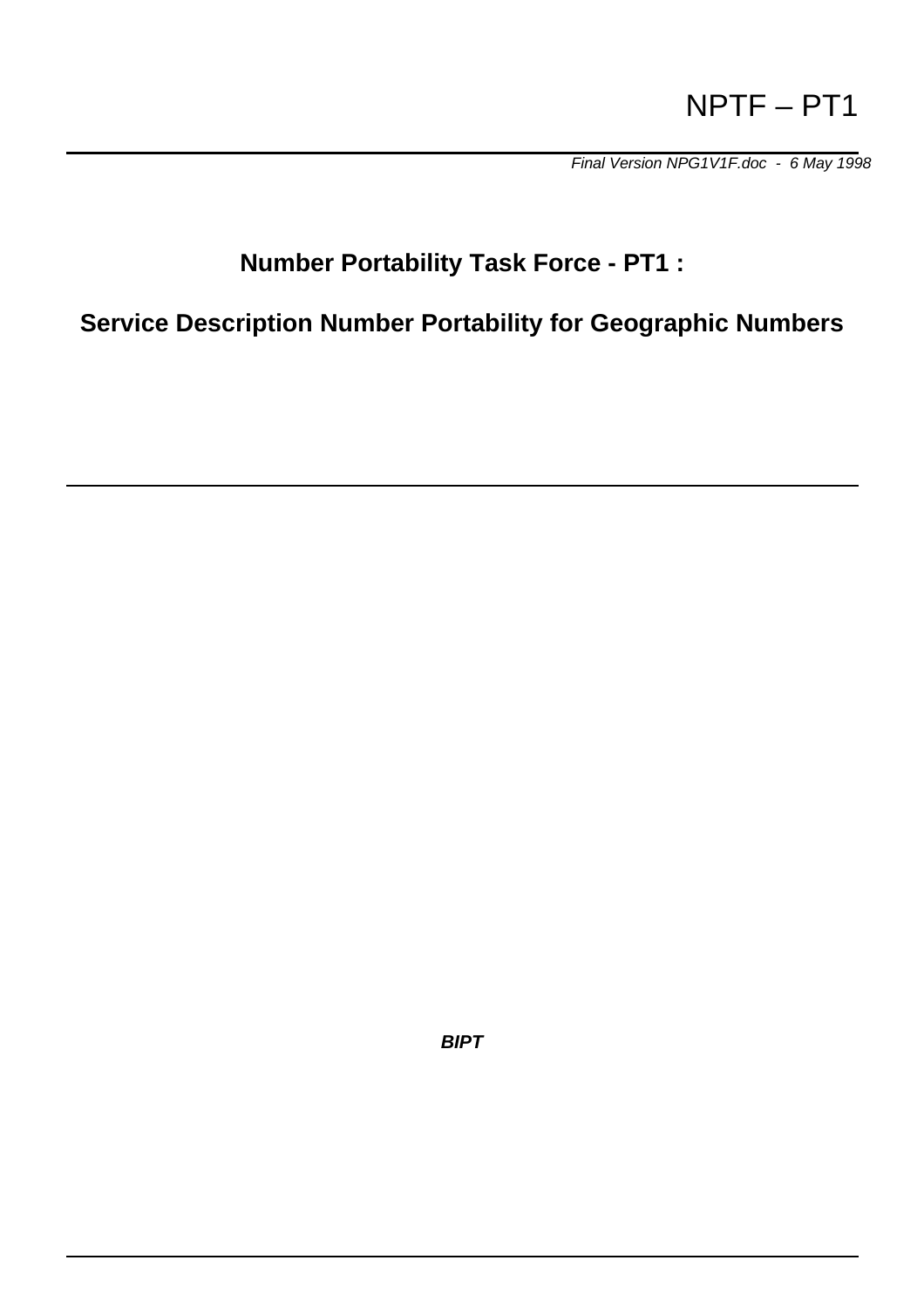# NPTF – PT1

*Final Version NPG1V1F.doc - 6 May 1998*

# **Number Portability Task Force - PT1 :**

**Service Description Number Portability for Geographic Numbers**

*BIPT*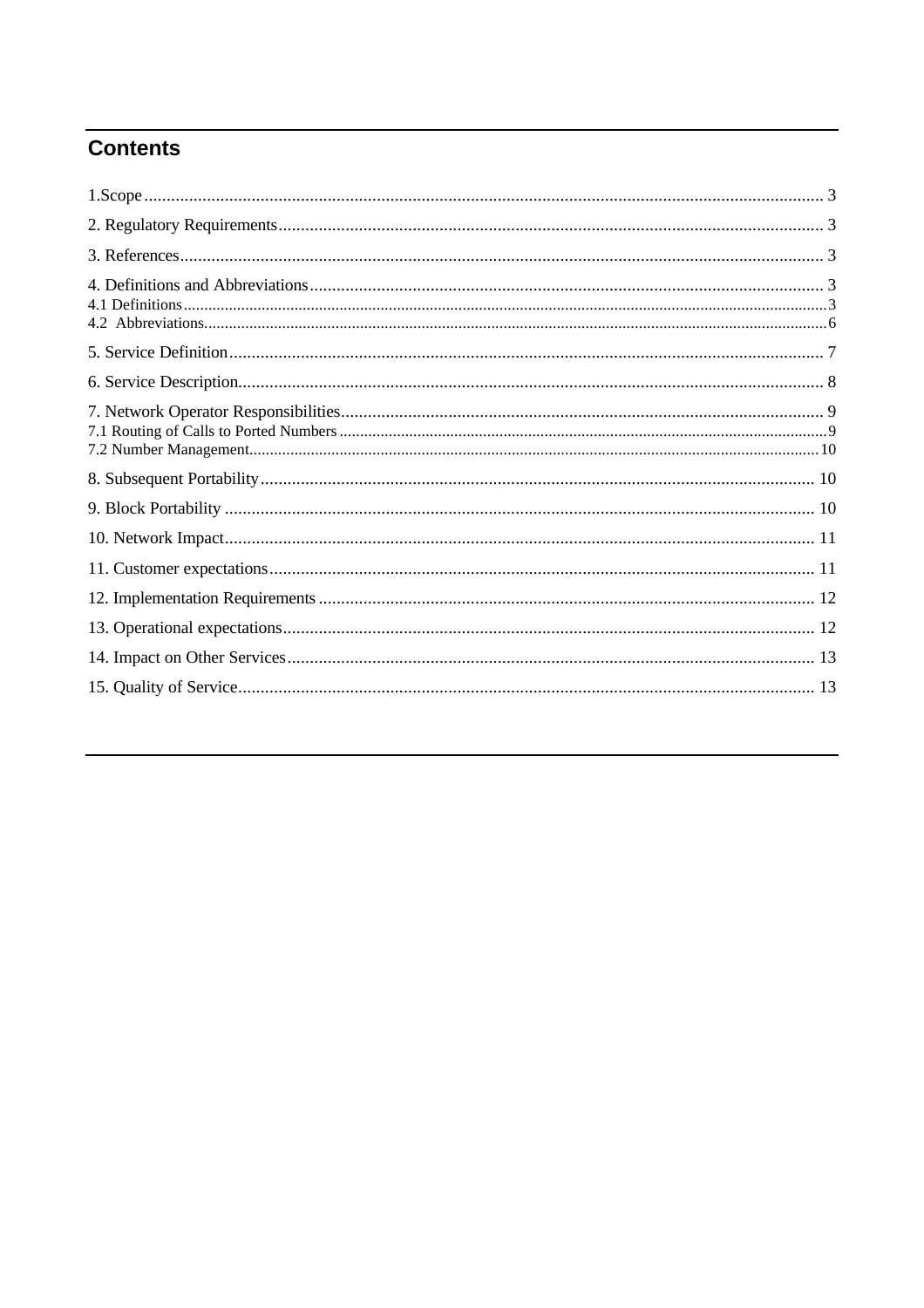## **Contents**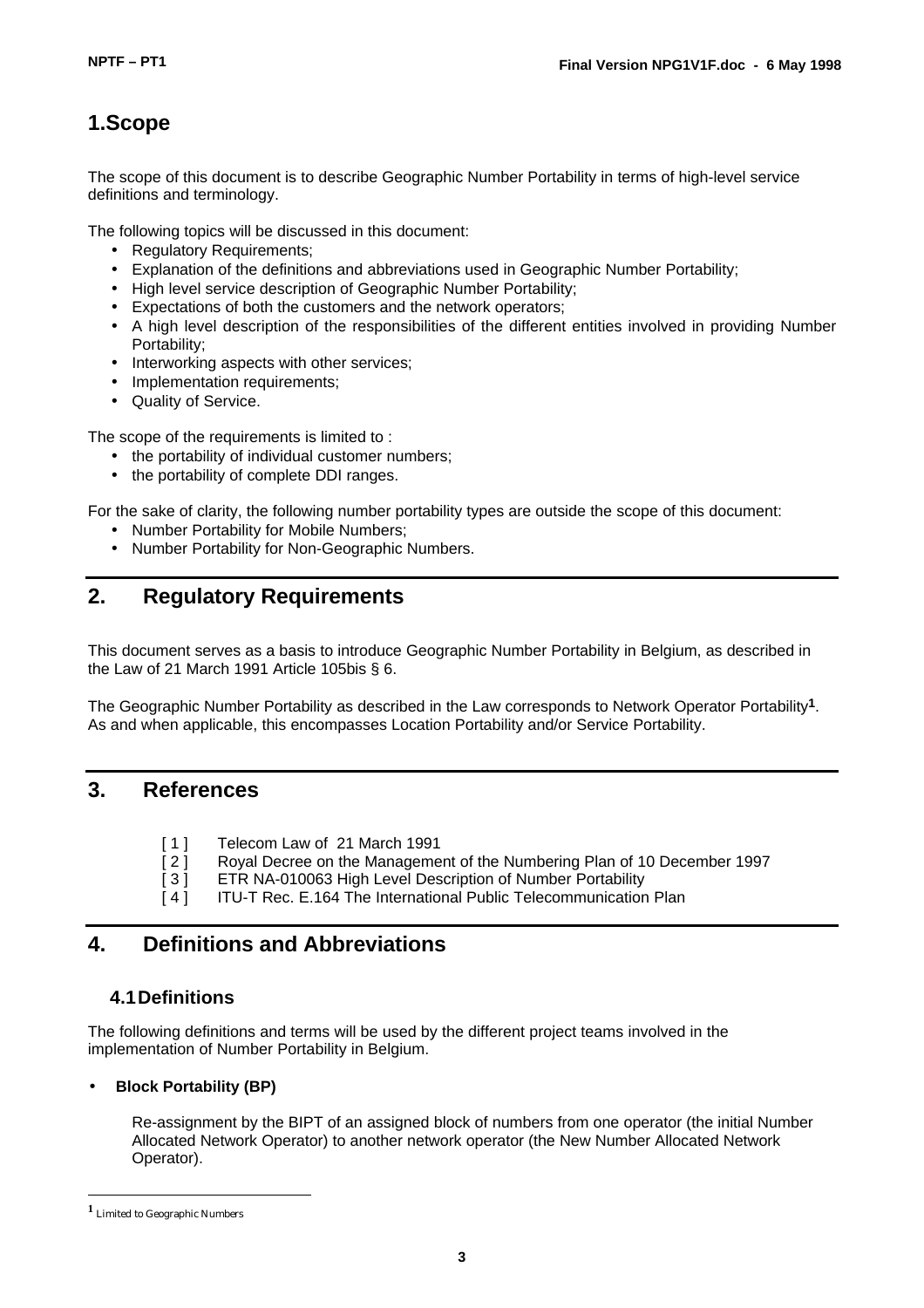### **1.Scope**

The scope of this document is to describe Geographic Number Portability in terms of high-level service definitions and terminology.

The following topics will be discussed in this document:

- Regulatory Requirements;
- Explanation of the definitions and abbreviations used in Geographic Number Portability;
- High level service description of Geographic Number Portability;
- Expectations of both the customers and the network operators;
- A high level description of the responsibilities of the different entities involved in providing Number Portability;
- Interworking aspects with other services;
- Implementation requirements;
- Quality of Service.

The scope of the requirements is limited to :

- the portability of individual customer numbers:
- the portability of complete DDI ranges.

For the sake of clarity, the following number portability types are outside the scope of this document:

- Number Portability for Mobile Numbers;
- Number Portability for Non-Geographic Numbers.

### **2. Regulatory Requirements**

This document serves as a basis to introduce Geographic Number Portability in Belgium, as described in the Law of 21 March 1991 Article 105bis § 6.

The Geographic Number Portability as described in the Law corresponds to Network Operator Portability**1**. As and when applicable, this encompasses Location Portability and/or Service Portability.

### **3. References**

- [1] Telecom Law of 21 March 1991<br>[2] Roval Decree on the Manageme
- Royal Decree on the Management of the Numbering Plan of 10 December 1997
- [ 3 ] ETR NA-010063 High Level Description of Number Portability
- [4] ITU-T Rec. E.164 The International Public Telecommunication Plan

### **4. Definitions and Abbreviations**

### **4.1Definitions**

The following definitions and terms will be used by the different project teams involved in the implementation of Number Portability in Belgium.

#### • **Block Portability (BP)**

Re-assignment by the BIPT of an assigned block of numbers from one operator (the initial Number Allocated Network Operator) to another network operator (the New Number Allocated Network Operator).

l

**<sup>1</sup>** Limited to Geographic Numbers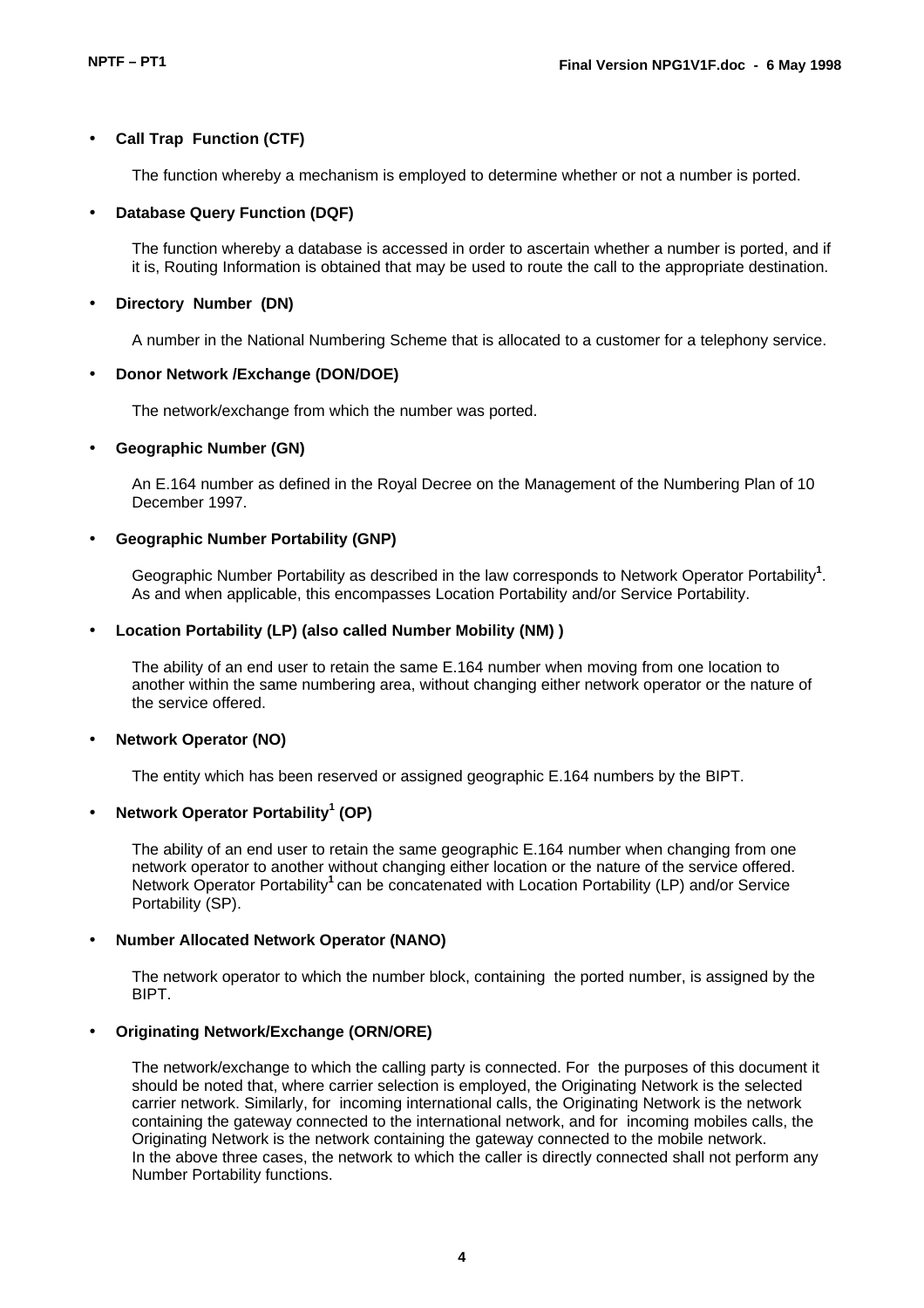#### • **Call Trap Function (CTF)**

The function whereby a mechanism is employed to determine whether or not a number is ported.

#### • **Database Query Function (DQF)**

The function whereby a database is accessed in order to ascertain whether a number is ported, and if it is, Routing Information is obtained that may be used to route the call to the appropriate destination.

#### • **Directory Number (DN)**

A number in the National Numbering Scheme that is allocated to a customer for a telephony service.

#### • **Donor Network /Exchange (DON/DOE)**

The network/exchange from which the number was ported.

#### • **Geographic Number (GN)**

An E.164 number as defined in the Royal Decree on the Management of the Numbering Plan of 10 December 1997.

#### • **Geographic Number Portability (GNP)**

Geographic Number Portability as described in the law corresponds to Network Operator Portability**<sup>1</sup>** . As and when applicable, this encompasses Location Portability and/or Service Portability.

#### • **Location Portability (LP) (also called Number Mobility (NM) )**

The ability of an end user to retain the same E.164 number when moving from one location to another within the same numbering area, without changing either network operator or the nature of the service offered.

#### • **Network Operator (NO)**

The entity which has been reserved or assigned geographic E.164 numbers by the BIPT.

#### • **Network Operator Portability<sup>1</sup> (OP)**

The ability of an end user to retain the same geographic E.164 number when changing from one network operator to another without changing either location or the nature of the service offered. Network Operator Portability**<sup>1</sup>**can be concatenated with Location Portability (LP) and/or Service Portability (SP).

#### • **Number Allocated Network Operator (NANO)**

The network operator to which the number block, containing the ported number, is assigned by the BIPT.

#### • **Originating Network/Exchange (ORN/ORE)**

The network/exchange to which the calling party is connected. For the purposes of this document it should be noted that, where carrier selection is employed, the Originating Network is the selected carrier network. Similarly, for incoming international calls, the Originating Network is the network containing the gateway connected to the international network, and for incoming mobiles calls, the Originating Network is the network containing the gateway connected to the mobile network. In the above three cases, the network to which the caller is directly connected shall not perform any Number Portability functions.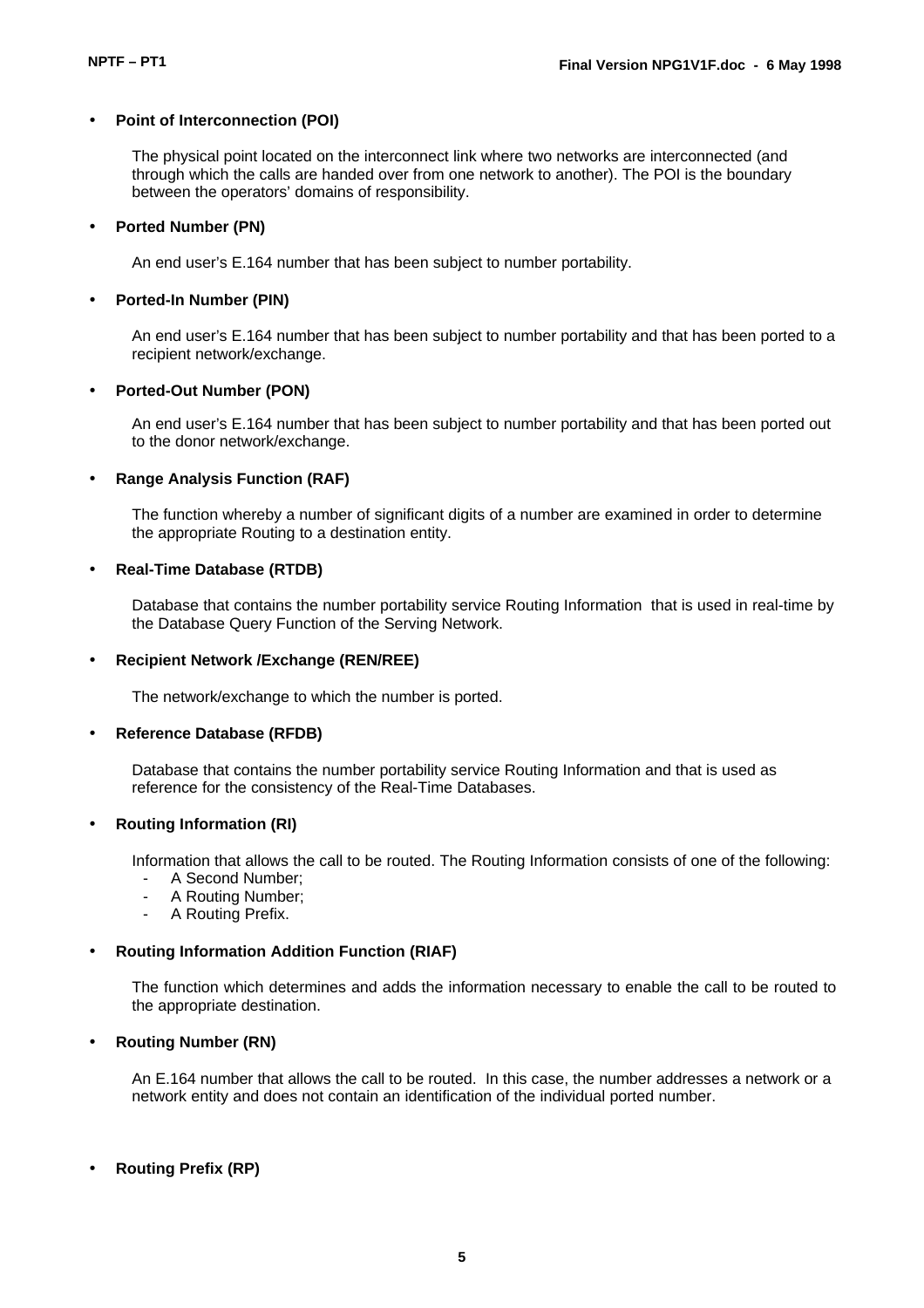#### • **Point of Interconnection (POI)**

The physical point located on the interconnect link where two networks are interconnected (and through which the calls are handed over from one network to another). The POI is the boundary between the operators' domains of responsibility.

#### • **Ported Number (PN)**

An end user's E.164 number that has been subject to number portability.

#### • **Ported-In Number (PIN)**

An end user's E.164 number that has been subject to number portability and that has been ported to a recipient network/exchange.

#### • **Ported-Out Number (PON)**

An end user's E.164 number that has been subject to number portability and that has been ported out to the donor network/exchange.

#### • **Range Analysis Function (RAF)**

The function whereby a number of significant digits of a number are examined in order to determine the appropriate Routing to a destination entity.

#### • **Real-Time Database (RTDB)**

Database that contains the number portability service Routing Information that is used in real-time by the Database Query Function of the Serving Network.

#### • **Recipient Network /Exchange (REN/REE)**

The network/exchange to which the number is ported.

#### • **Reference Database (RFDB)**

Database that contains the number portability service Routing Information and that is used as reference for the consistency of the Real-Time Databases.

#### • **Routing Information (RI)**

Information that allows the call to be routed. The Routing Information consists of one of the following:

- A Second Number:
- A Routing Number:
- A Routing Prefix.

#### • **Routing Information Addition Function (RIAF)**

The function which determines and adds the information necessary to enable the call to be routed to the appropriate destination.

#### • **Routing Number (RN)**

An E.164 number that allows the call to be routed. In this case, the number addresses a network or a network entity and does not contain an identification of the individual ported number.

#### • **Routing Prefix (RP)**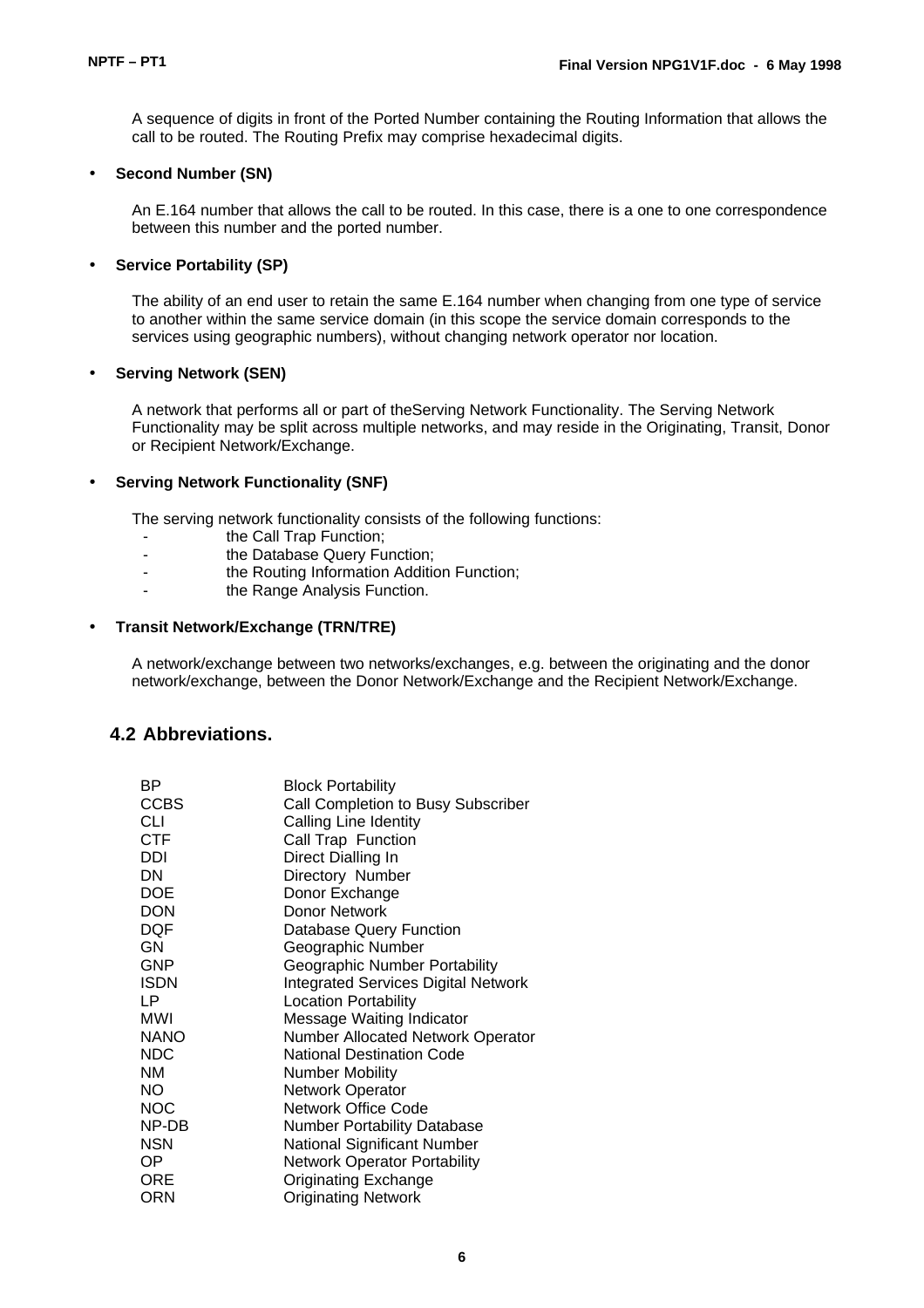A sequence of digits in front of the Ported Number containing the Routing Information that allows the call to be routed. The Routing Prefix may comprise hexadecimal digits.

#### • **Second Number (SN)**

An E.164 number that allows the call to be routed. In this case, there is a one to one correspondence between this number and the ported number.

#### • **Service Portability (SP)**

The ability of an end user to retain the same E.164 number when changing from one type of service to another within the same service domain (in this scope the service domain corresponds to the services using geographic numbers), without changing network operator nor location.

#### • **Serving Network (SEN)**

A network that performs all or part of theServing Network Functionality. The Serving Network Functionality may be split across multiple networks, and may reside in the Originating, Transit, Donor or Recipient Network/Exchange.

#### • **Serving Network Functionality (SNF)**

The serving network functionality consists of the following functions:

- the Call Trap Function;<br>- the Database Query Fu
- the Database Query Function;<br>the Routing Information Addition:
- the Routing Information Addition Function:
- the Range Analysis Function.

#### • **Transit Network/Exchange (TRN/TRE)**

A network/exchange between two networks/exchanges, e.g. between the originating and the donor network/exchange, between the Donor Network/Exchange and the Recipient Network/Exchange.

#### **4.2 Abbreviations.**

| ВP          | <b>Block Portability</b>                   |
|-------------|--------------------------------------------|
| <b>CCBS</b> | Call Completion to Busy Subscriber         |
| CLI         | Calling Line Identity                      |
| <b>CTF</b>  | Call Trap Function                         |
| DDI         | Direct Dialling In                         |
| DN          | Directory Number                           |
| <b>DOE</b>  | Donor Exchange                             |
| <b>DON</b>  | Donor Network                              |
| <b>DQF</b>  | <b>Database Query Function</b>             |
| GN.         | Geographic Number                          |
| GNP         | Geographic Number Portability              |
| <b>ISDN</b> | <b>Integrated Services Digital Network</b> |
| LP          | <b>Location Portability</b>                |
| <b>MWI</b>  | Message Waiting Indicator                  |
| <b>NANO</b> | <b>Number Allocated Network Operator</b>   |
| <b>NDC</b>  | National Destination Code                  |
| <b>NM</b>   | <b>Number Mobility</b>                     |
| NO.         | Network Operator                           |
| <b>NOC</b>  | Network Office Code                        |
| NP-DB       | <b>Number Portability Database</b>         |
| <b>NSN</b>  | National Significant Number                |
| ОP          | <b>Network Operator Portability</b>        |
| ORE         | <b>Originating Exchange</b>                |
| <b>ORN</b>  | <b>Originating Network</b>                 |
|             |                                            |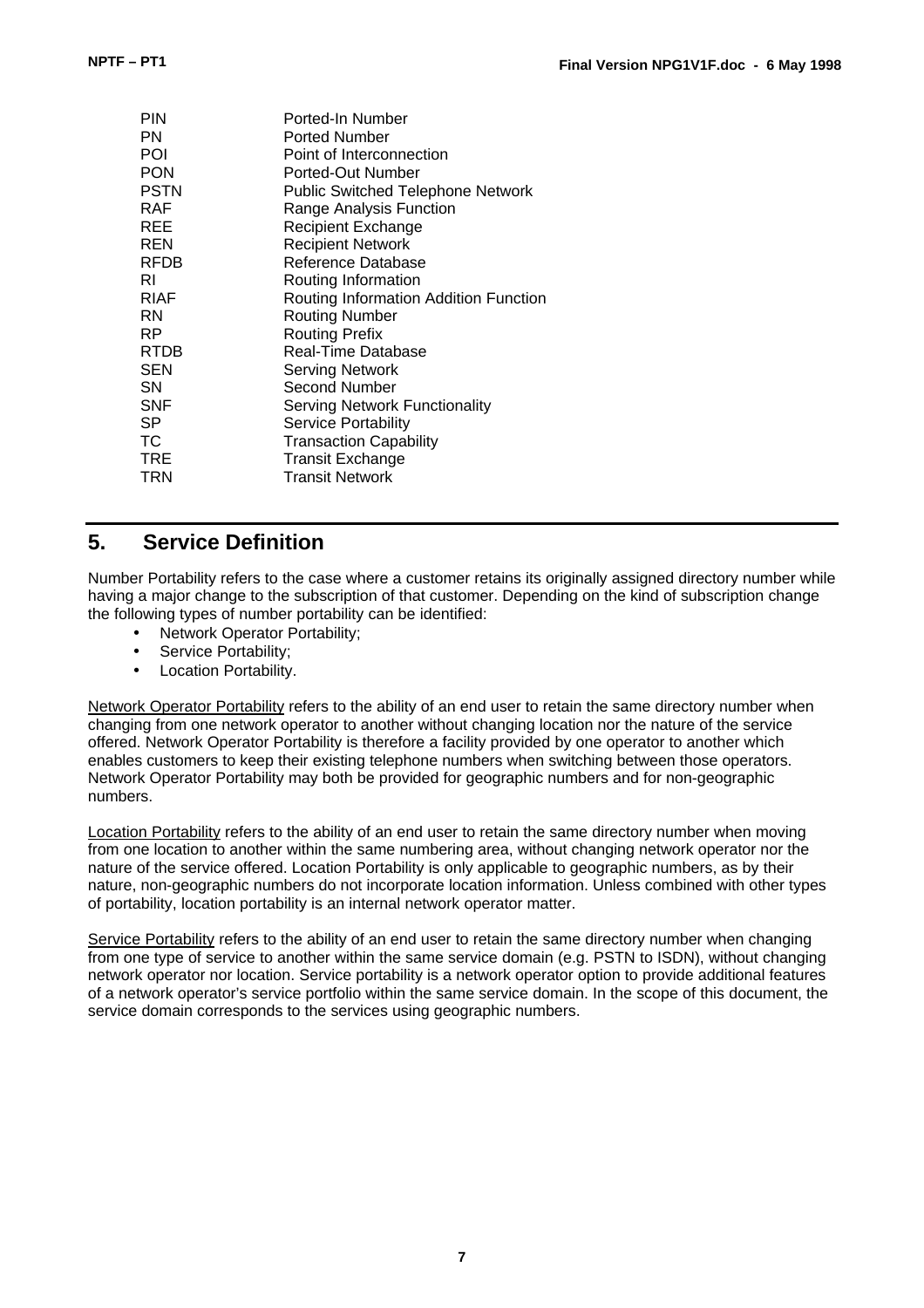| PIN<br>PN<br>POI | Ported-In Number<br><b>Ported Number</b><br>Point of Interconnection |
|------------------|----------------------------------------------------------------------|
| PON              | Ported-Out Number                                                    |
| <b>PSTN</b>      | <b>Public Switched Telephone Network</b>                             |
| RAF              | Range Analysis Function                                              |
| REE              | <b>Recipient Exchange</b>                                            |
| REN              | <b>Recipient Network</b>                                             |
| RFDB             | Reference Database                                                   |
| RI               | Routing Information                                                  |
| <b>RIAF</b>      | Routing Information Addition Function                                |
| RN               | <b>Routing Number</b>                                                |
| RP               | <b>Routing Prefix</b>                                                |
| RTDB             | <b>Real-Time Database</b>                                            |
| <b>SEN</b>       | Serving Network                                                      |
| SΝ               | Second Number                                                        |
| SNF              | <b>Serving Network Functionality</b>                                 |
| SP               | Service Portability                                                  |
| ТC               | <b>Transaction Capability</b>                                        |
| TRE              | <b>Transit Exchange</b>                                              |
| TRN              | <b>Transit Network</b>                                               |

### **5. Service Definition**

Number Portability refers to the case where a customer retains its originally assigned directory number while having a major change to the subscription of that customer. Depending on the kind of subscription change the following types of number portability can be identified:

- Network Operator Portability;
- Service Portability;
- Location Portability.

Network Operator Portability refers to the ability of an end user to retain the same directory number when changing from one network operator to another without changing location nor the nature of the service offered. Network Operator Portability is therefore a facility provided by one operator to another which enables customers to keep their existing telephone numbers when switching between those operators. Network Operator Portability may both be provided for geographic numbers and for non-geographic numbers.

Location Portability refers to the ability of an end user to retain the same directory number when moving from one location to another within the same numbering area, without changing network operator nor the nature of the service offered. Location Portability is only applicable to geographic numbers, as by their nature, non-geographic numbers do not incorporate location information. Unless combined with other types of portability, location portability is an internal network operator matter.

Service Portability refers to the ability of an end user to retain the same directory number when changing from one type of service to another within the same service domain (e.g. PSTN to ISDN), without changing network operator nor location. Service portability is a network operator option to provide additional features of a network operator's service portfolio within the same service domain. In the scope of this document, the service domain corresponds to the services using geographic numbers.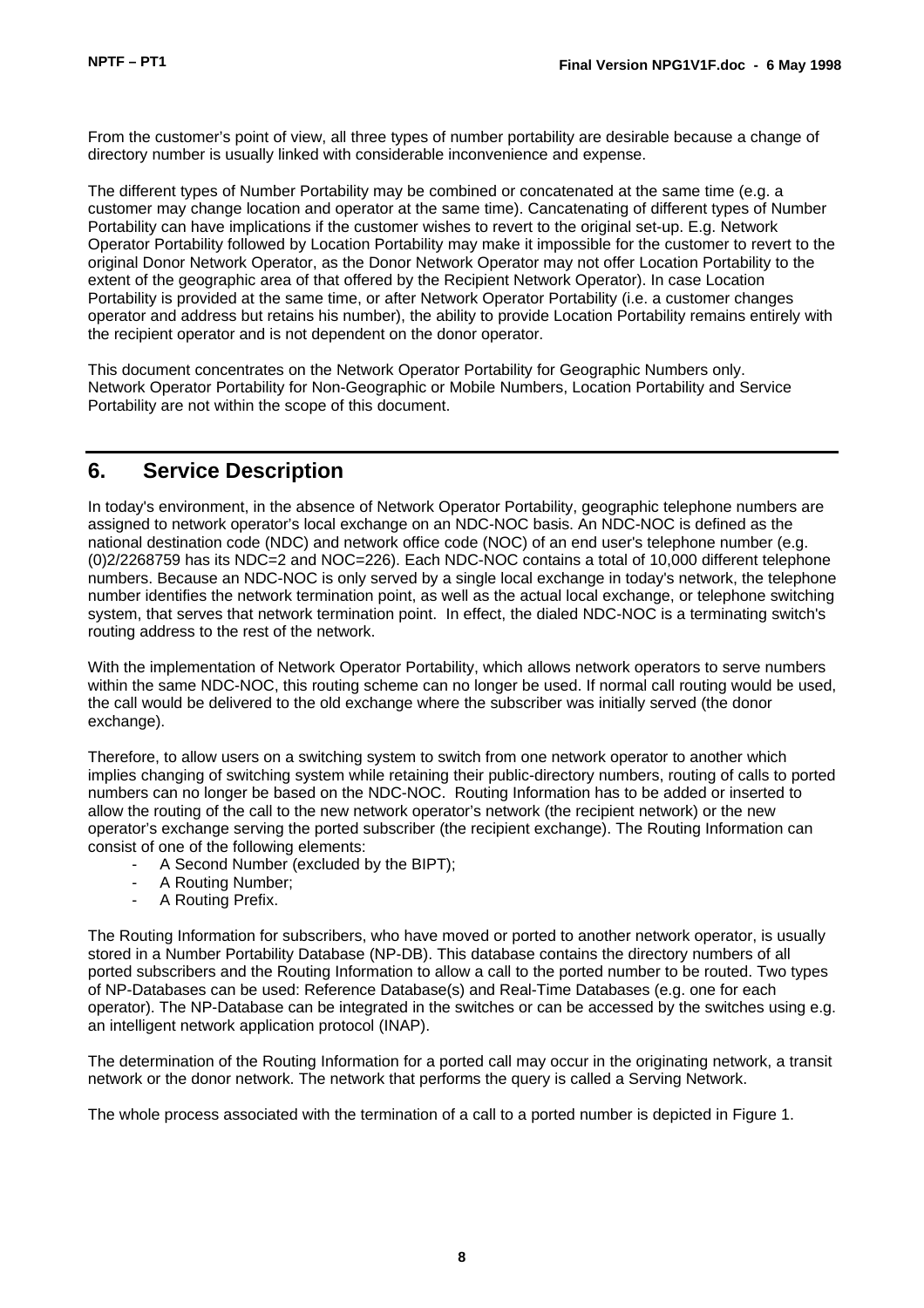From the customer's point of view, all three types of number portability are desirable because a change of directory number is usually linked with considerable inconvenience and expense.

The different types of Number Portability may be combined or concatenated at the same time (e.g. a customer may change location and operator at the same time). Cancatenating of different types of Number Portability can have implications if the customer wishes to revert to the original set-up. E.g. Network Operator Portability followed by Location Portability may make it impossible for the customer to revert to the original Donor Network Operator, as the Donor Network Operator may not offer Location Portability to the extent of the geographic area of that offered by the Recipient Network Operator). In case Location Portability is provided at the same time, or after Network Operator Portability (i.e. a customer changes operator and address but retains his number), the ability to provide Location Portability remains entirely with the recipient operator and is not dependent on the donor operator.

This document concentrates on the Network Operator Portability for Geographic Numbers only. Network Operator Portability for Non-Geographic or Mobile Numbers, Location Portability and Service Portability are not within the scope of this document.

### **6. Service Description**

In today's environment, in the absence of Network Operator Portability, geographic telephone numbers are assigned to network operator's local exchange on an NDC-NOC basis. An NDC-NOC is defined as the national destination code (NDC) and network office code (NOC) of an end user's telephone number (e.g. (0)2/2268759 has its NDC=2 and NOC=226). Each NDC-NOC contains a total of 10,000 different telephone numbers. Because an NDC-NOC is only served by a single local exchange in today's network, the telephone number identifies the network termination point, as well as the actual local exchange, or telephone switching system, that serves that network termination point. In effect, the dialed NDC-NOC is a terminating switch's routing address to the rest of the network.

With the implementation of Network Operator Portability, which allows network operators to serve numbers within the same NDC-NOC, this routing scheme can no longer be used. If normal call routing would be used, the call would be delivered to the old exchange where the subscriber was initially served (the donor exchange).

Therefore, to allow users on a switching system to switch from one network operator to another which implies changing of switching system while retaining their public-directory numbers, routing of calls to ported numbers can no longer be based on the NDC-NOC. Routing Information has to be added or inserted to allow the routing of the call to the new network operator's network (the recipient network) or the new operator's exchange serving the ported subscriber (the recipient exchange). The Routing Information can consist of one of the following elements:

- A Second Number (excluded by the BIPT);
- A Routing Number;
- A Routing Prefix.

The Routing Information for subscribers, who have moved or ported to another network operator, is usually stored in a Number Portability Database (NP-DB). This database contains the directory numbers of all ported subscribers and the Routing Information to allow a call to the ported number to be routed. Two types of NP-Databases can be used: Reference Database(s) and Real-Time Databases (e.g. one for each operator). The NP-Database can be integrated in the switches or can be accessed by the switches using e.g. an intelligent network application protocol (INAP).

The determination of the Routing Information for a ported call may occur in the originating network, a transit network or the donor network. The network that performs the query is called a Serving Network.

The whole process associated with the termination of a call to a ported number is depicted in Figure 1.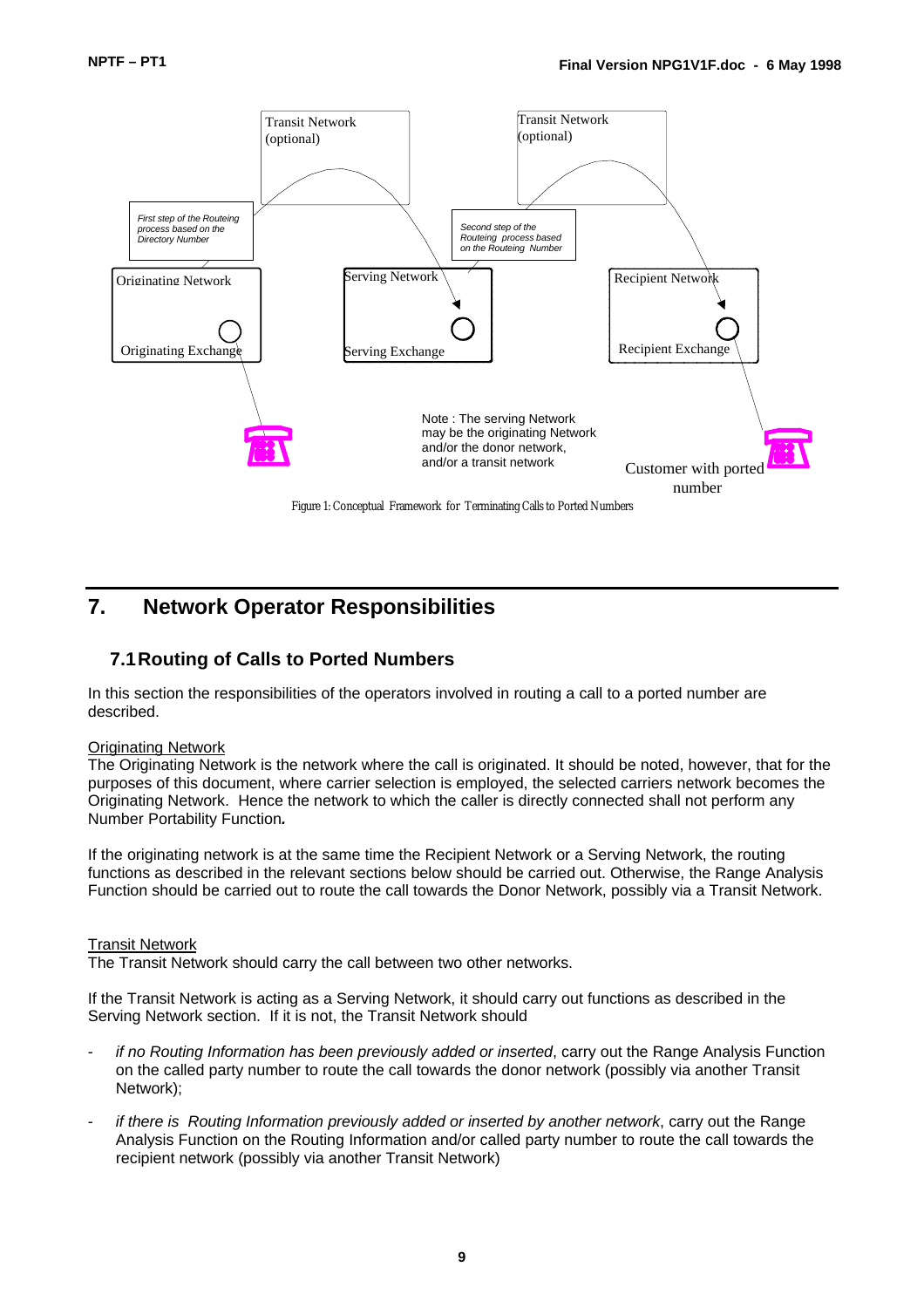

### **7. Network Operator Responsibilities**

### **7.1Routing of Calls to Ported Numbers**

In this section the responsibilities of the operators involved in routing a call to a ported number are described.

#### Originating Network

The Originating Network is the network where the call is originated. It should be noted, however, that for the purposes of this document, where carrier selection is employed, the selected carriers network becomes the Originating Network. Hence the network to which the caller is directly connected shall not perform any Number Portability Function*.*

If the originating network is at the same time the Recipient Network or a Serving Network, the routing functions as described in the relevant sections below should be carried out. Otherwise, the Range Analysis Function should be carried out to route the call towards the Donor Network, possibly via a Transit Network.

#### Transit Network

The Transit Network should carry the call between two other networks.

If the Transit Network is acting as a Serving Network, it should carry out functions as described in the Serving Network section. If it is not, the Transit Network should

- *if no Routing Information has been previously added or inserted*, carry out the Range Analysis Function on the called party number to route the call towards the donor network (possibly via another Transit Network);
- *if there is Routing Information previously added or inserted by another network, carry out the Range* Analysis Function on the Routing Information and/or called party number to route the call towards the recipient network (possibly via another Transit Network)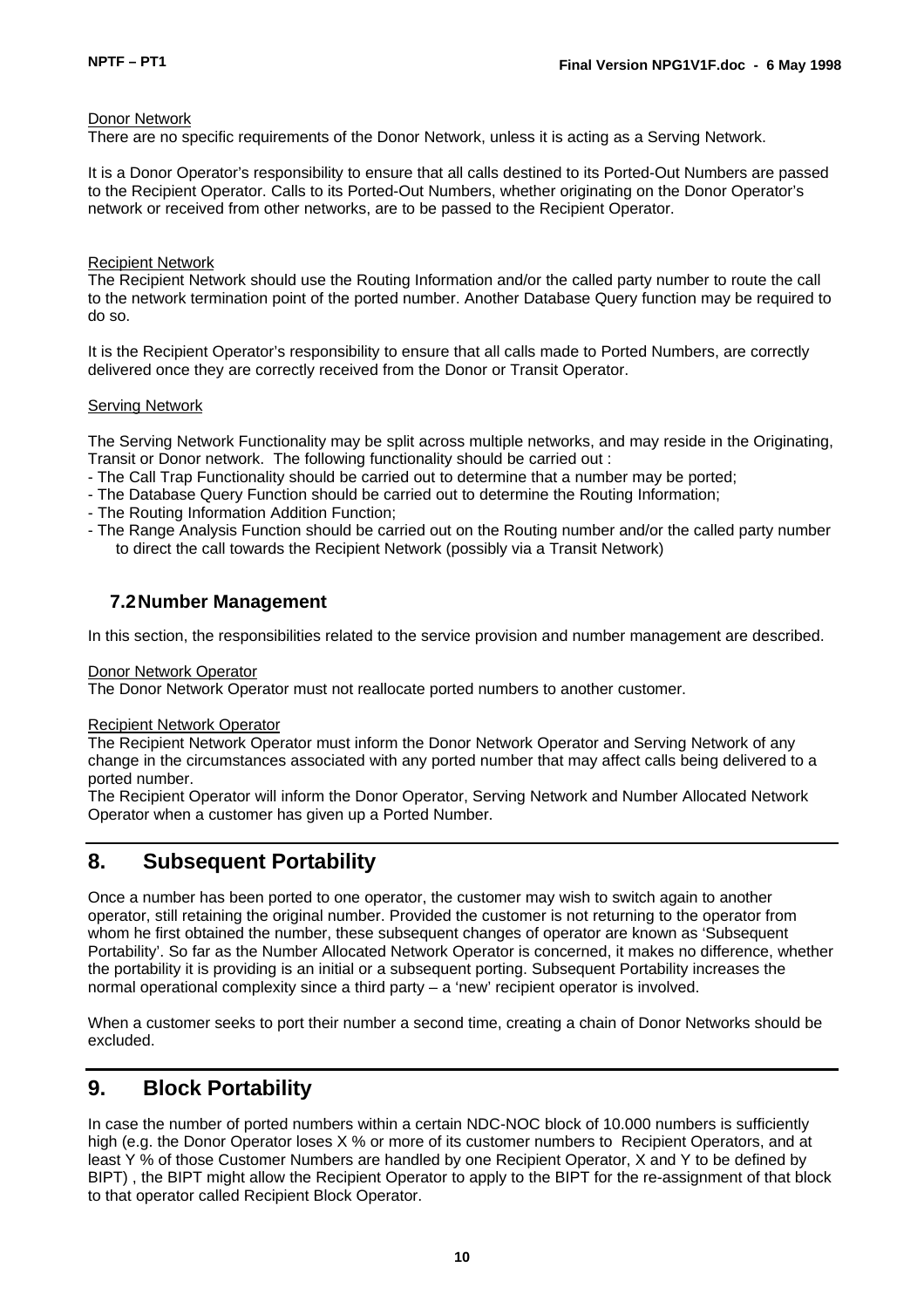#### Donor Network

There are no specific requirements of the Donor Network, unless it is acting as a Serving Network.

It is a Donor Operator's responsibility to ensure that all calls destined to its Ported-Out Numbers are passed to the Recipient Operator. Calls to its Ported-Out Numbers, whether originating on the Donor Operator's network or received from other networks, are to be passed to the Recipient Operator.

#### Recipient Network

The Recipient Network should use the Routing Information and/or the called party number to route the call to the network termination point of the ported number. Another Database Query function may be required to do so.

It is the Recipient Operator's responsibility to ensure that all calls made to Ported Numbers, are correctly delivered once they are correctly received from the Donor or Transit Operator.

#### Serving Network

The Serving Network Functionality may be split across multiple networks, and may reside in the Originating, Transit or Donor network. The following functionality should be carried out :

- The Call Trap Functionality should be carried out to determine that a number may be ported;
- The Database Query Function should be carried out to determine the Routing Information;
- The Routing Information Addition Function;
- The Range Analysis Function should be carried out on the Routing number and/or the called party number to direct the call towards the Recipient Network (possibly via a Transit Network)

### **7.2Number Management**

In this section, the responsibilities related to the service provision and number management are described.

#### Donor Network Operator

The Donor Network Operator must not reallocate ported numbers to another customer.

#### Recipient Network Operator

The Recipient Network Operator must inform the Donor Network Operator and Serving Network of any change in the circumstances associated with any ported number that may affect calls being delivered to a ported number.

The Recipient Operator will inform the Donor Operator, Serving Network and Number Allocated Network Operator when a customer has given up a Ported Number.

### **8. Subsequent Portability**

Once a number has been ported to one operator, the customer may wish to switch again to another operator, still retaining the original number. Provided the customer is not returning to the operator from whom he first obtained the number, these subsequent changes of operator are known as 'Subsequent' Portability'. So far as the Number Allocated Network Operator is concerned, it makes no difference, whether the portability it is providing is an initial or a subsequent porting. Subsequent Portability increases the normal operational complexity since a third party – a 'new' recipient operator is involved.

When a customer seeks to port their number a second time, creating a chain of Donor Networks should be excluded.

### **9. Block Portability**

In case the number of ported numbers within a certain NDC-NOC block of 10.000 numbers is sufficiently high (e.g. the Donor Operator loses X % or more of its customer numbers to Recipient Operators, and at least Y % of those Customer Numbers are handled by one Recipient Operator, X and Y to be defined by BIPT) , the BIPT might allow the Recipient Operator to apply to the BIPT for the re-assignment of that block to that operator called Recipient Block Operator.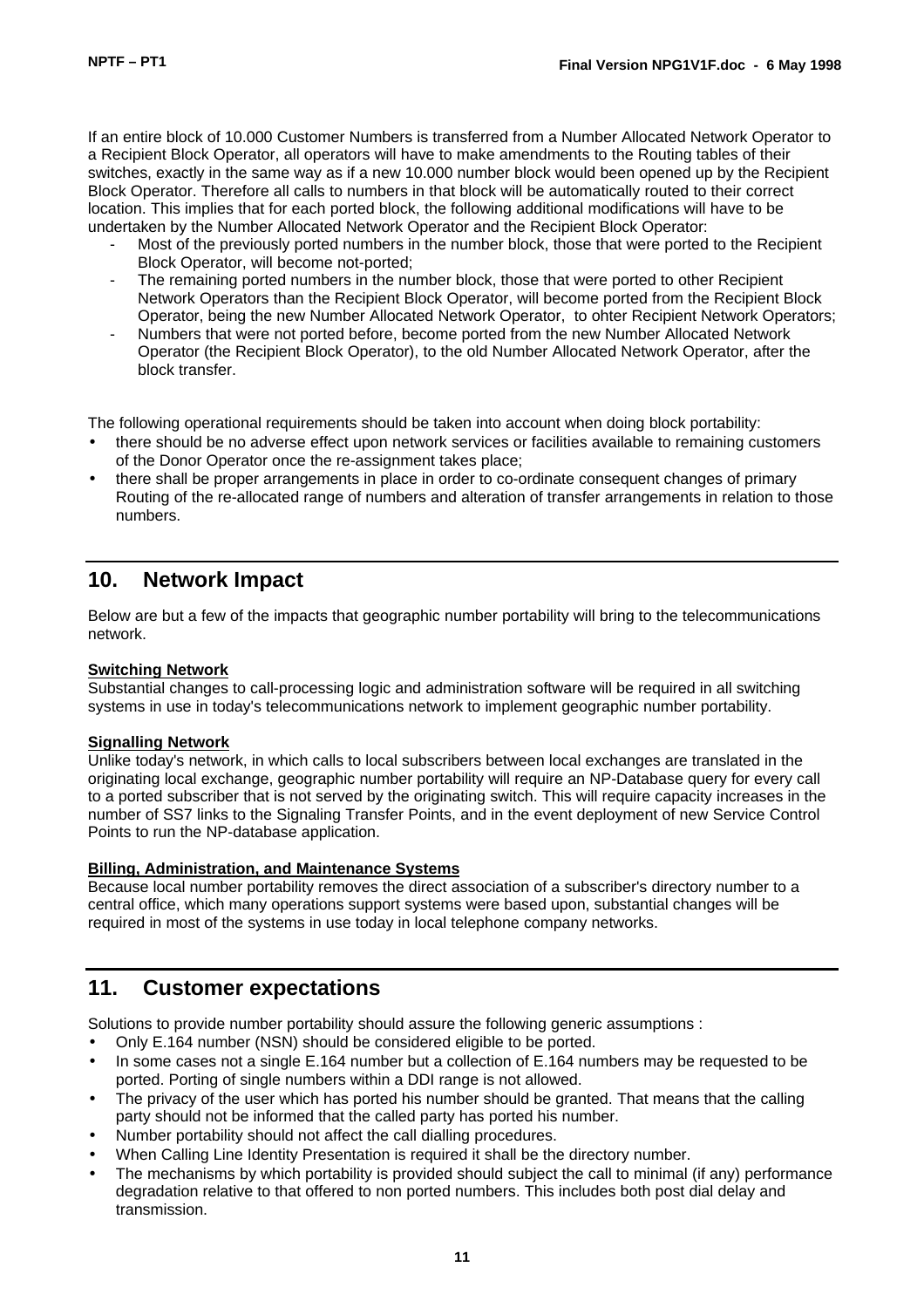If an entire block of 10.000 Customer Numbers is transferred from a Number Allocated Network Operator to a Recipient Block Operator, all operators will have to make amendments to the Routing tables of their switches, exactly in the same way as if a new 10.000 number block would been opened up by the Recipient Block Operator. Therefore all calls to numbers in that block will be automatically routed to their correct location. This implies that for each ported block, the following additional modifications will have to be undertaken by the Number Allocated Network Operator and the Recipient Block Operator:

- Most of the previously ported numbers in the number block, those that were ported to the Recipient Block Operator, will become not-ported;
- The remaining ported numbers in the number block, those that were ported to other Recipient Network Operators than the Recipient Block Operator, will become ported from the Recipient Block Operator, being the new Number Allocated Network Operator, to ohter Recipient Network Operators;
- Numbers that were not ported before, become ported from the new Number Allocated Network Operator (the Recipient Block Operator), to the old Number Allocated Network Operator, after the block transfer.

The following operational requirements should be taken into account when doing block portability:

- there should be no adverse effect upon network services or facilities available to remaining customers of the Donor Operator once the re-assignment takes place;
- there shall be proper arrangements in place in order to co-ordinate consequent changes of primary Routing of the re-allocated range of numbers and alteration of transfer arrangements in relation to those numbers.

### **10. Network Impact**

Below are but a few of the impacts that geographic number portability will bring to the telecommunications network.

#### **Switching Network**

Substantial changes to call-processing logic and administration software will be required in all switching systems in use in today's telecommunications network to implement geographic number portability.

#### **Signalling Network**

Unlike today's network, in which calls to local subscribers between local exchanges are translated in the originating local exchange, geographic number portability will require an NP-Database query for every call to a ported subscriber that is not served by the originating switch. This will require capacity increases in the number of SS7 links to the Signaling Transfer Points, and in the event deployment of new Service Control Points to run the NP-database application.

#### **Billing, Administration, and Maintenance Systems**

Because local number portability removes the direct association of a subscriber's directory number to a central office, which many operations support systems were based upon, substantial changes will be required in most of the systems in use today in local telephone company networks.

### **11. Customer expectations**

Solutions to provide number portability should assure the following generic assumptions :

- Only E.164 number (NSN) should be considered eligible to be ported.
- In some cases not a single E.164 number but a collection of E.164 numbers may be requested to be ported. Porting of single numbers within a DDI range is not allowed.
- The privacy of the user which has ported his number should be granted. That means that the calling party should not be informed that the called party has ported his number.
- Number portability should not affect the call dialling procedures.
- When Calling Line Identity Presentation is required it shall be the directory number.
- The mechanisms by which portability is provided should subject the call to minimal (if any) performance degradation relative to that offered to non ported numbers. This includes both post dial delay and transmission.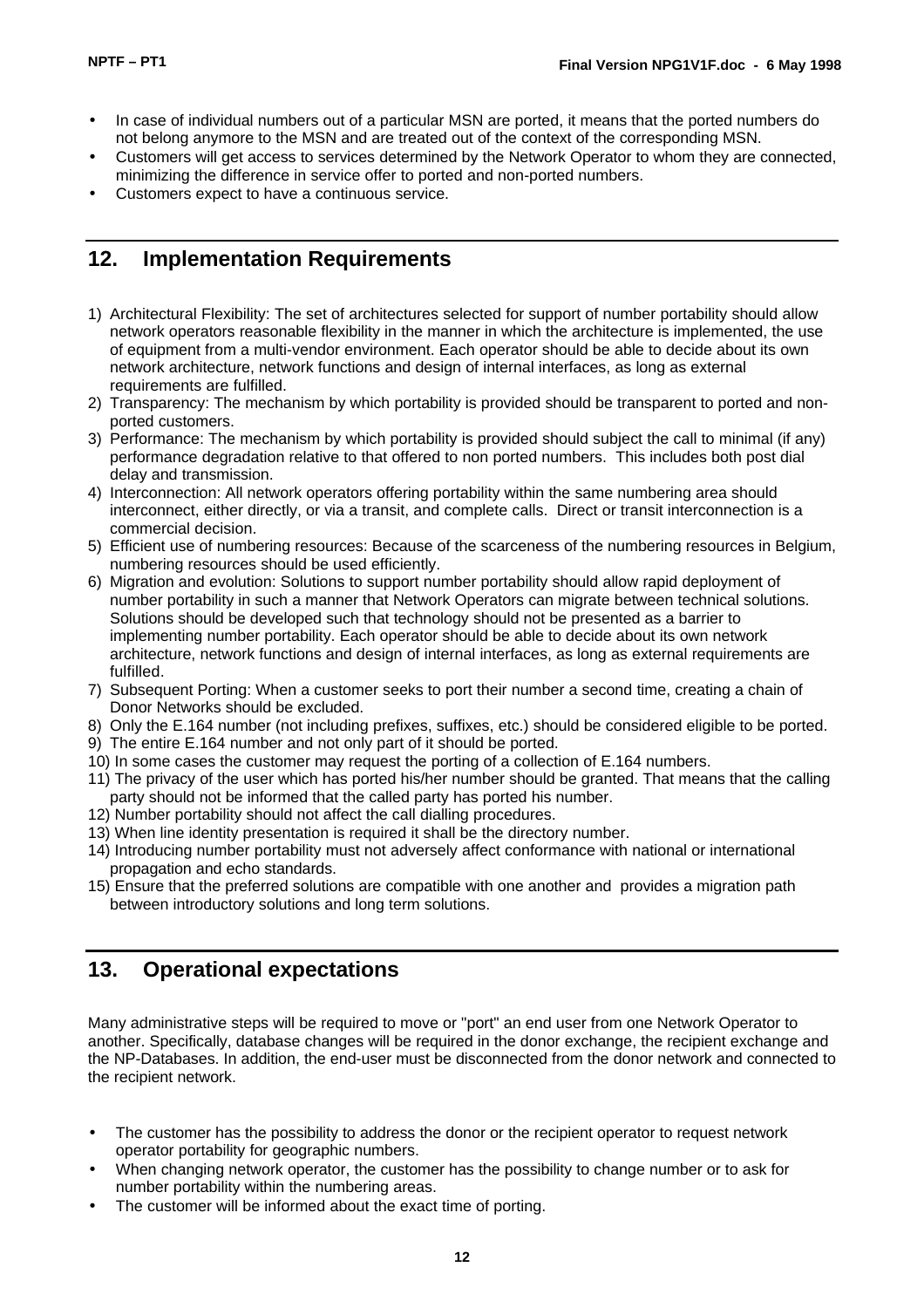- In case of individual numbers out of a particular MSN are ported, it means that the ported numbers do not belong anymore to the MSN and are treated out of the context of the corresponding MSN.
- Customers will get access to services determined by the Network Operator to whom they are connected, minimizing the difference in service offer to ported and non-ported numbers.
- Customers expect to have a continuous service.

### **12. Implementation Requirements**

- 1) Architectural Flexibility: The set of architectures selected for support of number portability should allow network operators reasonable flexibility in the manner in which the architecture is implemented, the use of equipment from a multi-vendor environment. Each operator should be able to decide about its own network architecture, network functions and design of internal interfaces, as long as external requirements are fulfilled.
- 2) Transparency: The mechanism by which portability is provided should be transparent to ported and nonported customers.
- 3) Performance: The mechanism by which portability is provided should subject the call to minimal (if any) performance degradation relative to that offered to non ported numbers. This includes both post dial delay and transmission.
- 4) Interconnection: All network operators offering portability within the same numbering area should interconnect, either directly, or via a transit, and complete calls. Direct or transit interconnection is a commercial decision.
- 5) Efficient use of numbering resources: Because of the scarceness of the numbering resources in Belgium, numbering resources should be used efficiently.
- 6) Migration and evolution: Solutions to support number portability should allow rapid deployment of number portability in such a manner that Network Operators can migrate between technical solutions. Solutions should be developed such that technology should not be presented as a barrier to implementing number portability. Each operator should be able to decide about its own network architecture, network functions and design of internal interfaces, as long as external requirements are fulfilled.
- 7) Subsequent Porting: When a customer seeks to port their number a second time, creating a chain of Donor Networks should be excluded.
- 8) Only the E.164 number (not including prefixes, suffixes, etc.) should be considered eligible to be ported.
- 9) The entire E.164 number and not only part of it should be ported.
- 10) In some cases the customer may request the porting of a collection of E.164 numbers.
- 11) The privacy of the user which has ported his/her number should be granted. That means that the calling party should not be informed that the called party has ported his number.
- 12) Number portability should not affect the call dialling procedures.
- 13) When line identity presentation is required it shall be the directory number.
- 14) Introducing number portability must not adversely affect conformance with national or international propagation and echo standards.
- 15) Ensure that the preferred solutions are compatible with one another and provides a migration path between introductory solutions and long term solutions.

### **13. Operational expectations**

Many administrative steps will be required to move or "port" an end user from one Network Operator to another. Specifically, database changes will be required in the donor exchange, the recipient exchange and the NP-Databases. In addition, the end-user must be disconnected from the donor network and connected to the recipient network.

- The customer has the possibility to address the donor or the recipient operator to request network operator portability for geographic numbers.
- When changing network operator, the customer has the possibility to change number or to ask for number portability within the numbering areas.
- The customer will be informed about the exact time of porting.